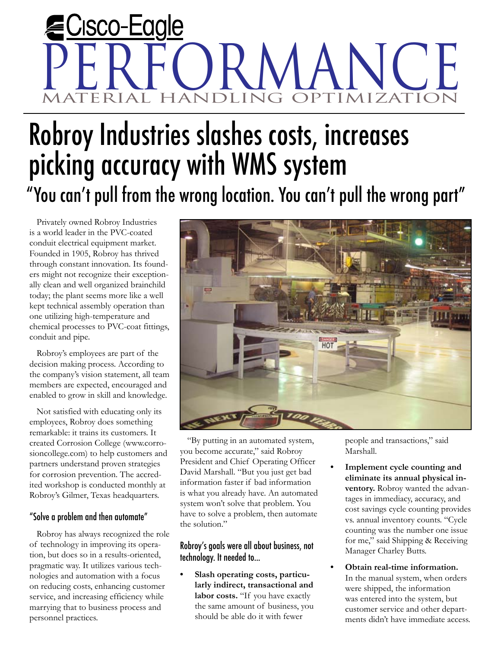# Cisco-Eagle PERFORMANCE IMIZATIO

## Robroy Industries slashes costs, increases picking accuracy with WMS system "You can't pull from the wrong location. You can't pull the wrong part"

Privately owned Robroy Industries is a world leader in the PVC-coated conduit electrical equipment market. Founded in 1905, Robroy has thrived through constant innovation. Its founders might not recognize their exceptionally clean and well organized brainchild today; the plant seems more like a well kept technical assembly operation than one utilizing high-temperature and chemical processes to PVC-coat fittings, conduit and pipe.

Robroy's employees are part of the decision making process. According to the company's vision statement, all team members are expected, encouraged and enabled to grow in skill and knowledge.

Not satisfied with educating only its employees, Robroy does something remarkable: it trains its customers. It created Corrosion College (www.corrosioncollege.com) to help customers and partners understand proven strategies for corrosion prevention. The accredited workshop is conducted monthly at Robroy's Gilmer, Texas headquarters.

#### "Solve a problem and then automate"

Robroy has always recognized the role of technology in improving its operation, but does so in a results-oriented, pragmatic way. It utilizes various technologies and automation with a focus on reducing costs, enhancing customer service, and increasing efficiency while marrying that to business process and personnel practices.



**•**

"By putting in an automated system, you become accurate," said Robroy President and Chief Operating Officer David Marshall. "But you just get bad information faster if bad information is what you already have. An automated system won't solve that problem. You have to solve a problem, then automate the solution."

#### Robroy's goals were all about business, not technology. It needed to...

**Slash operating costs, particularly indirect, transactional and labor costs.** "If you have exactly the same amount of business, you should be able do it with fewer **•**

people and transactions," said Marshall.

- **Implement cycle counting and eliminate its annual physical inventory.** Robroy wanted the advantages in immediacy, accuracy, and cost savings cycle counting provides vs. annual inventory counts. "Cycle counting was the number one issue for me," said Shipping & Receiving Manager Charley Butts.
- **Obtain real-time information.** In the manual system, when orders were shipped, the information was entered into the system, but customer service and other departments didn't have immediate access. **•**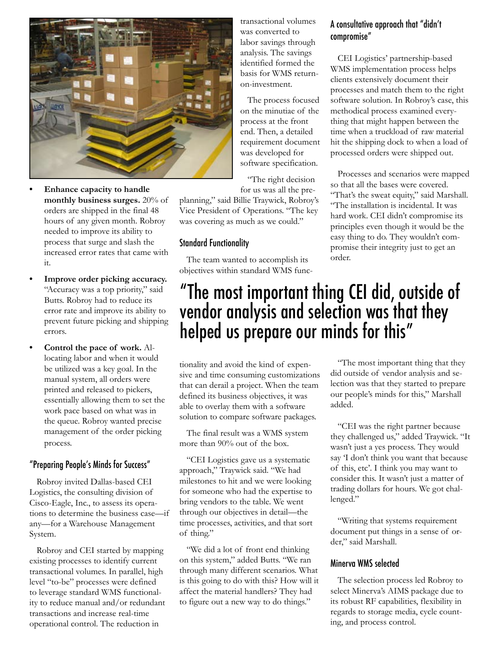

- **Enhance capacity to handle monthly business surges.** 20% of orders are shipped in the final 48 hours of any given month. Robroy needed to improve its ability to process that surge and slash the increased error rates that came with it. **•**
- **Improve order picking accuracy.**  "Accuracy was a top priority," said Butts. Robroy had to reduce its error rate and improve its ability to prevent future picking and shipping errors. **•**
- **Control the pace of work.** Allocating labor and when it would be utilized was a key goal. In the manual system, all orders were printed and released to pickers, essentially allowing them to set the work pace based on what was in the queue. Robroy wanted precise management of the order picking process. **•**

#### "Preparing People's Minds for Success"

Robroy invited Dallas-based CEI Logistics, the consulting division of Cisco-Eagle, Inc., to assess its operations to determine the business case—if any—for a Warehouse Management System.

Robroy and CEI started by mapping existing processes to identify current transactional volumes. In parallel, high level "to-be" processes were defined to leverage standard WMS functionality to reduce manual and/or redundant transactions and increase real-time operational control. The reduction in

transactional volumes was converted to labor savings through analysis. The savings identified formed the basis for WMS returnon-investment.

The process focused on the minutiae of the process at the front end. Then, a detailed requirement document was developed for software specification.

planning," said Billie Traywick, Robroy's Vice President of Operations. "The key was covering as much as we could."

#### Standard Functionality

The team wanted to accomplish its objectives within standard WMS func-

#### "The right decision for us was all the pre-Processes and scenarios were mapped so that all the bases were covered. "That's the sweat equity," said Marshall. "The installation is incidental. It was hard work. CEI didn't compromise its

principles even though it would be the easy thing to do. They wouldn't compromise their integrity just to get an order.

### "The most important thing CEI did, outside of vendor analysis and selection was that they helped us prepare our minds for this"

tionality and avoid the kind of expensive and time consuming customizations that can derail a project. When the team defined its business objectives, it was able to overlay them with a software solution to compare software packages.

The final result was a WMS system more than 90% out of the box.

"CEI Logistics gave us a systematic approach," Traywick said. "We had milestones to hit and we were looking for someone who had the expertise to bring vendors to the table. We went through our objectives in detail—the time processes, activities, and that sort of thing."

"We did a lot of front end thinking on this system," added Butts. "We ran through many different scenarios. What is this going to do with this? How will it affect the material handlers? They had to figure out a new way to do things."

"The most important thing that they did outside of vendor analysis and selection was that they started to prepare our people's minds for this," Marshall added.

"CEI was the right partner because they challenged us," added Traywick. "It wasn't just a yes process. They would say 'I don't think you want that because of this, etc'. I think you may want to consider this. It wasn't just a matter of trading dollars for hours. We got challenged."

"Writing that systems requirement document put things in a sense of order," said Marshall.

#### Minerva WMS selected

The selection process led Robroy to select Minerva's AIMS package due to its robust RF capabilities, flexibility in regards to storage media, cycle counting, and process control.

#### A consultative approach that "didn't compromise"

CEI Logistics' partnership-based WMS implementation process helps clients extensively document their processes and match them to the right software solution. In Robroy's case, this methodical process examined everything that might happen between the time when a truckload of raw material hit the shipping dock to when a load of processed orders were shipped out.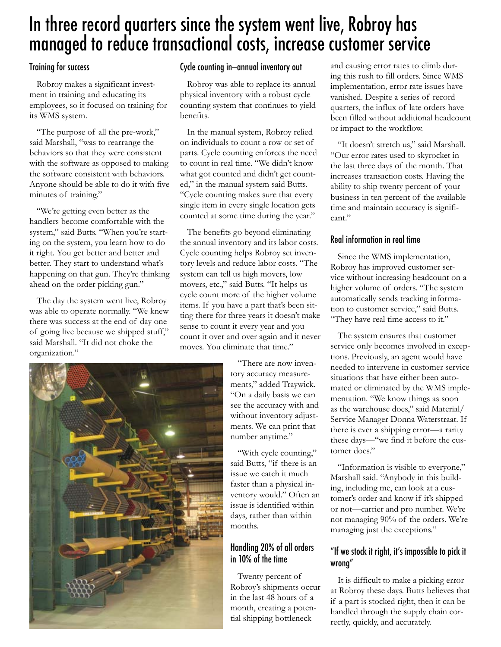## In three record quarters since the system went live, Robroy has managed to reduce transactional costs, increase customer service

#### Training for success

Robroy makes a significant investment in training and educating its employees, so it focused on training for its WMS system.

"The purpose of all the pre-work," said Marshall, "was to rearrange the behaviors so that they were consistent with the software as opposed to making the software consistent with behaviors. Anyone should be able to do it with five minutes of training."

"We're getting even better as the handlers become comfortable with the system," said Butts. "When you're starting on the system, you learn how to do it right. You get better and better and better. They start to understand what's happening on that gun. They're thinking ahead on the order picking gun."

The day the system went live, Robroy was able to operate normally. "We knew there was success at the end of day one of going live because we shipped stuff," said Marshall. "It did not choke the organization."

#### Cycle counting in—annual inventory out

Robroy was able to replace its annual physical inventory with a robust cycle counting system that continues to yield benefits.

In the manual system, Robroy relied on individuals to count a row or set of parts. Cycle counting enforces the need to count in real time. "We didn't know what got counted and didn't get counted," in the manual system said Butts. "Cycle counting makes sure that every single item in every single location gets counted at some time during the year."

The benefits go beyond eliminating the annual inventory and its labor costs. Cycle counting helps Robroy set inventory levels and reduce labor costs. "The system can tell us high movers, low movers, etc.," said Butts. "It helps us cycle count more of the higher volume items. If you have a part that's been sitting there for three years it doesn't make sense to count it every year and you count it over and over again and it never moves. You eliminate that time."



"There are now inventory accuracy measurements," added Traywick. "On a daily basis we can see the accuracy with and without inventory adjustments. We can print that number anytime."

"With cycle counting," said Butts, "if there is an issue we catch it much faster than a physical inventory would." Often an issue is identified within days, rather than within months.

### Handling 20% of all orders in 10% of the time

Twenty percent of Robroy's shipments occur in the last 48 hours of a month, creating a potential shipping bottleneck

and causing error rates to climb during this rush to fill orders. Since WMS implementation, error rate issues have vanished. Despite a series of record quarters, the influx of late orders have been filled without additional headcount or impact to the workflow.

"It doesn't stretch us," said Marshall. "Our error rates used to skyrocket in the last three days of the month. That increases transaction costs. Having the ability to ship twenty percent of your business in ten percent of the available time and maintain accuracy is significant."

#### Real information in real time

Since the WMS implementation, Robroy has improved customer service without increasing headcount on a higher volume of orders. "The system automatically sends tracking information to customer service," said Butts. "They have real time access to it."

The system ensures that customer service only becomes involved in exceptions. Previously, an agent would have needed to intervene in customer service situations that have either been automated or eliminated by the WMS implementation. "We know things as soon as the warehouse does," said Material/ Service Manager Donna Waterstraat. If there is ever a shipping error—a rarity these days—"we find it before the customer does."

"Information is visible to everyone," Marshall said. "Anybody in this building, including me, can look at a customer's order and know if it's shipped or not—carrier and pro number. We're not managing 90% of the orders. We're managing just the exceptions."

#### "If we stock it right, it's impossible to pick it wrong"

It is difficult to make a picking error at Robroy these days. Butts believes that if a part is stocked right, then it can be handled through the supply chain correctly, quickly, and accurately.